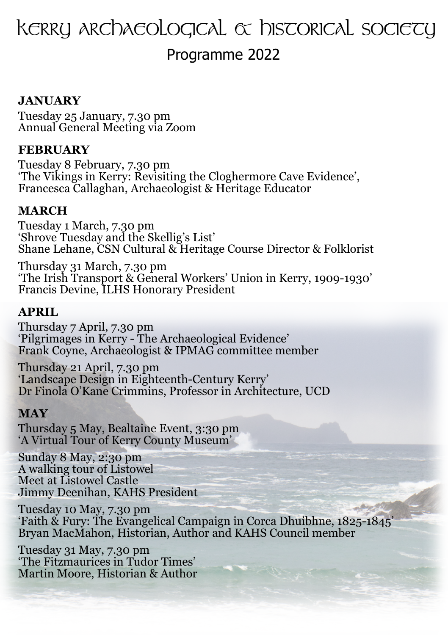# $K$ erry archaeological  $\alpha$  hiscorical sociecy

Programme 2022

# **JANUARY**

Tuesday 25 January, 7.30 pm Annual General Meeting via Zoom

#### **FEBRUARY**

Tuesday 8 February, 7.30 pm 'The Vikings in Kerry: Revisiting the Cloghermore Cave Evidence', Francesca Callaghan, Archaeologist & Heritage Educator

### **MARCH**

Tuesday 1 March, 7.30 pm 'Shrove Tuesday and the Skellig's List' Shane Lehane, CSN Cultural & Heritage Course Director & Folklorist

Thursday 31 March, 7.30 pm 'The Irish Transport & General Workers' Union in Kerry, 1909-1930' Francis Devine, ILHS Honorary President

## **APRIL**

Thursday 7 April, 7.30 pm 'Pilgrimages in Kerry - The Archaeological Evidence' Frank Coyne, Archaeologist & IPMAG committee member

Thursday 21 April, 7.30 pm 'Landscape Design in Eighteenth-Century Kerry' Dr Finola O'Kane Crimmins, Professor in Architecture, UCD

#### **MAY**

Thursday 5 May, Bealtaine Event, 3:30 pm 'A Virtual Tour of Kerry County Museum'

Sunday 8 May, 2:30 pm A walking tour of Listowel Meet at Listowel Castle Jimmy Deenihan, KAHS President

Tuesday 10 May, 7.30 pm 'Faith & Fury: The Evangelical Campaign in Corca Dhuibhne, 1825-1845' Bryan MacMahon, Historian, Author and KAHS Council member

Tuesday 31 May, 7.30 pm 'The Fitzmaurices in Tudor Times' Martin Moore, Historian & Author